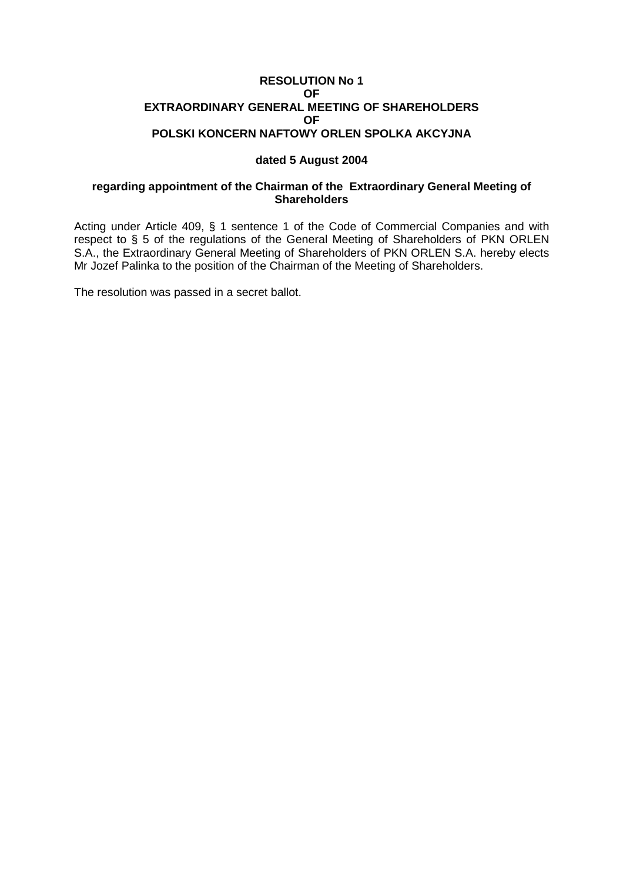### **RESOLUTION No 1 OF EXTRAORDINARY GENERAL MEETING OF SHAREHOLDERS OF POLSKI KONCERN NAFTOWY ORLEN SPOLKA AKCYJNA**

## **dated 5 August 2004**

# **regarding appointment of the Chairman of the Extraordinary General Meeting of Shareholders**

Acting under Article 409, § 1 sentence 1 of the Code of Commercial Companies and with respect to § 5 of the regulations of the General Meeting of Shareholders of PKN ORLEN S.A., the Extraordinary General Meeting of Shareholders of PKN ORLEN S.A. hereby elects Mr Jozef Palinka to the position of the Chairman of the Meeting of Shareholders.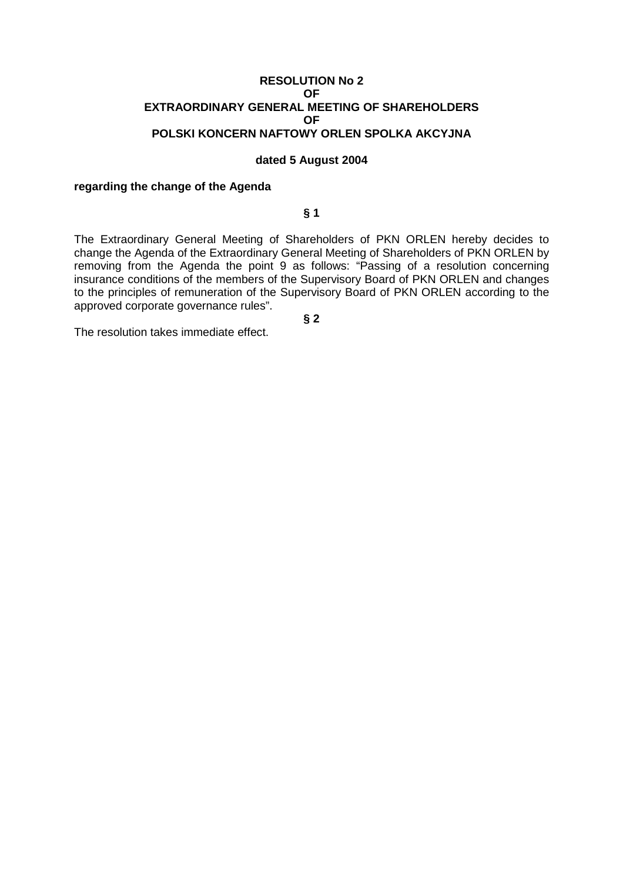### **RESOLUTION No 2 OF EXTRAORDINARY GENERAL MEETING OF SHAREHOLDERS OF POLSKI KONCERN NAFTOWY ORLEN SPOLKA AKCYJNA**

#### **dated 5 August 2004**

#### **regarding the change of the Agenda**

# **§ 1**

The Extraordinary General Meeting of Shareholders of PKN ORLEN hereby decides to change the Agenda of the Extraordinary General Meeting of Shareholders of PKN ORLEN by removing from the Agenda the point 9 as follows: "Passing of a resolution concerning insurance conditions of the members of the Supervisory Board of PKN ORLEN and changes to the principles of remuneration of the Supervisory Board of PKN ORLEN according to the approved corporate governance rules".

**§ 2**

The resolution takes immediate effect.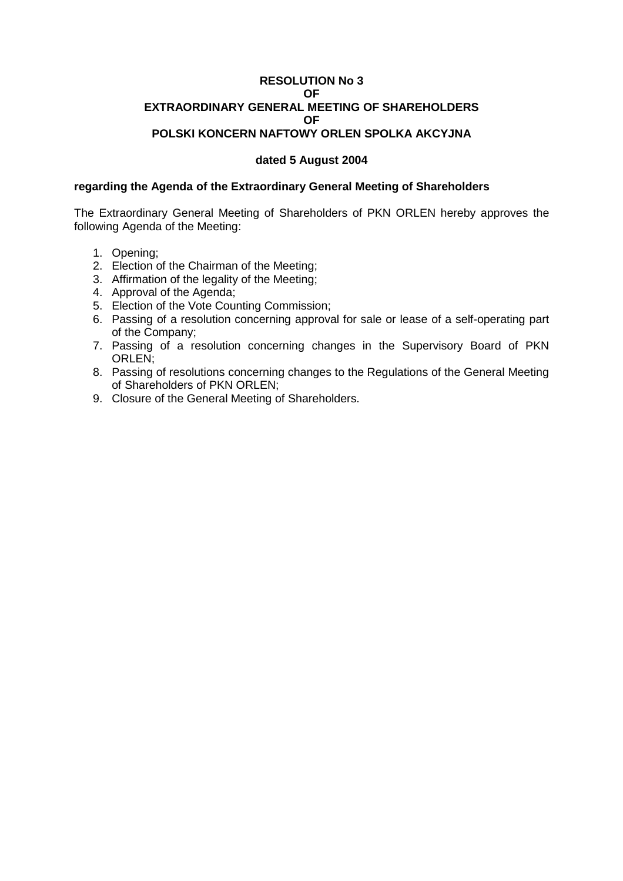### **RESOLUTION No 3 OF EXTRAORDINARY GENERAL MEETING OF SHAREHOLDERS OF POLSKI KONCERN NAFTOWY ORLEN SPOLKA AKCYJNA**

# **dated 5 August 2004**

#### **regarding the Agenda of the Extraordinary General Meeting of Shareholders**

The Extraordinary General Meeting of Shareholders of PKN ORLEN hereby approves the following Agenda of the Meeting:

- 1. Opening;
- 2. Election of the Chairman of the Meeting;
- 3. Affirmation of the legality of the Meeting;
- 4. Approval of the Agenda;
- 5. Election of the Vote Counting Commission;
- 6. Passing of a resolution concerning approval for sale or lease of a self-operating part of the Company;
- 7. Passing of a resolution concerning changes in the Supervisory Board of PKN ORLEN;
- 8. Passing of resolutions concerning changes to the Regulations of the General Meeting of Shareholders of PKN ORLEN;
- 9. Closure of the General Meeting of Shareholders.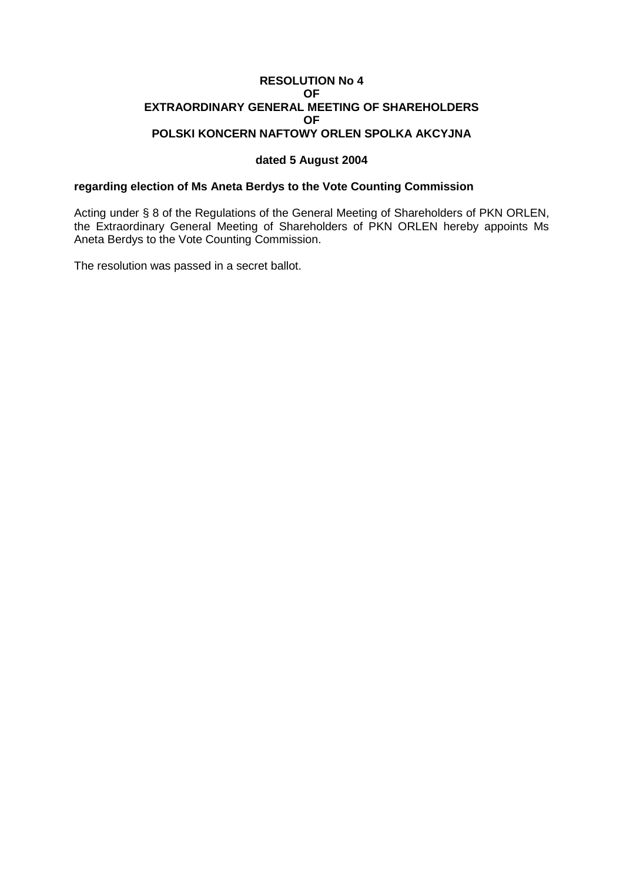### **RESOLUTION No 4 OF EXTRAORDINARY GENERAL MEETING OF SHAREHOLDERS OF POLSKI KONCERN NAFTOWY ORLEN SPOLKA AKCYJNA**

### **dated 5 August 2004**

### **regarding election of Ms Aneta Berdys to the Vote Counting Commission**

Acting under § 8 of the Regulations of the General Meeting of Shareholders of PKN ORLEN, the Extraordinary General Meeting of Shareholders of PKN ORLEN hereby appoints Ms Aneta Berdys to the Vote Counting Commission.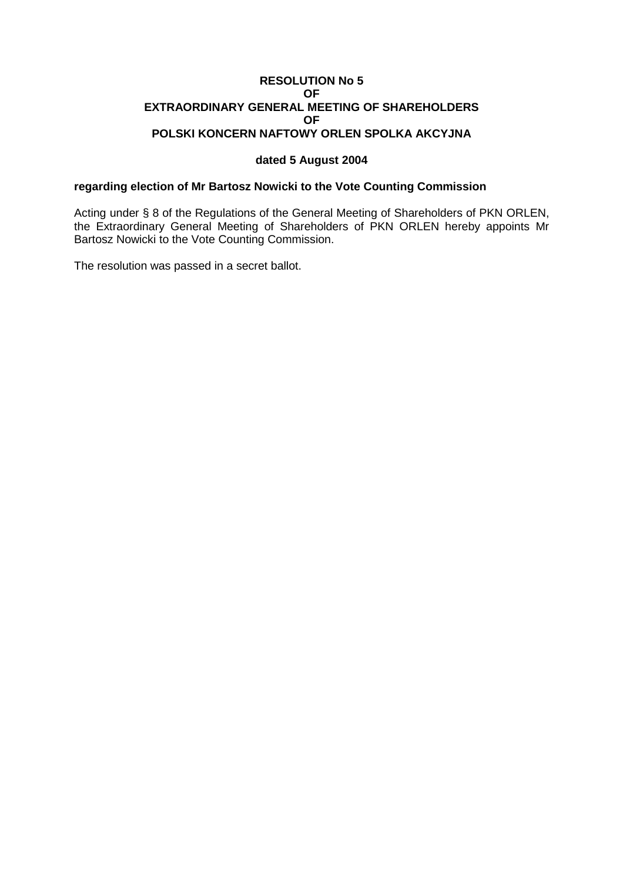### **RESOLUTION No 5 OF EXTRAORDINARY GENERAL MEETING OF SHAREHOLDERS OF POLSKI KONCERN NAFTOWY ORLEN SPOLKA AKCYJNA**

### **dated 5 August 2004**

### **regarding election of Mr Bartosz Nowicki to the Vote Counting Commission**

Acting under § 8 of the Regulations of the General Meeting of Shareholders of PKN ORLEN, the Extraordinary General Meeting of Shareholders of PKN ORLEN hereby appoints Mr Bartosz Nowicki to the Vote Counting Commission.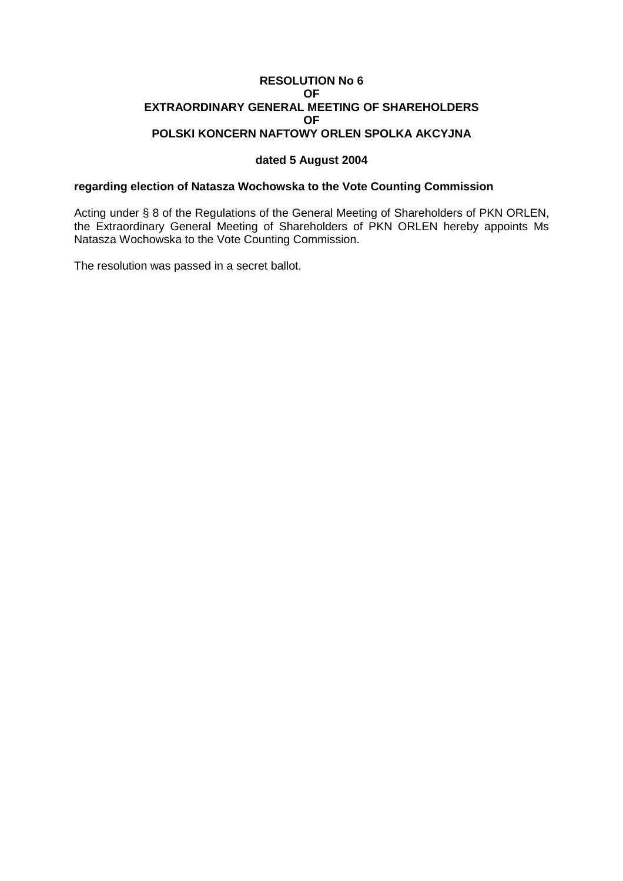### **RESOLUTION No 6 OF EXTRAORDINARY GENERAL MEETING OF SHAREHOLDERS OF POLSKI KONCERN NAFTOWY ORLEN SPOLKA AKCYJNA**

## **dated 5 August 2004**

### **regarding election of Natasza Wochowska to the Vote Counting Commission**

Acting under § 8 of the Regulations of the General Meeting of Shareholders of PKN ORLEN, the Extraordinary General Meeting of Shareholders of PKN ORLEN hereby appoints Ms Natasza Wochowska to the Vote Counting Commission.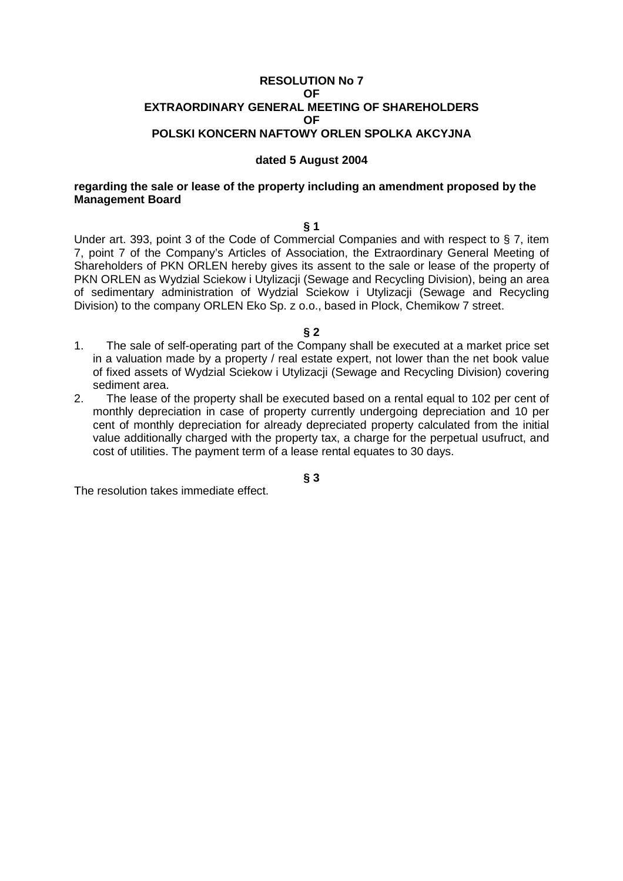#### **RESOLUTION No 7 OF EXTRAORDINARY GENERAL MEETING OF SHAREHOLDERS OF POLSKI KONCERN NAFTOWY ORLEN SPOLKA AKCYJNA**

#### **dated 5 August 2004**

#### **regarding the sale or lease of the property including an amendment proposed by the Management Board**

#### **§ 1**

Under art. 393, point 3 of the Code of Commercial Companies and with respect to § 7, item 7, point 7 of the Company's Articles of Association, the Extraordinary General Meeting of Shareholders of PKN ORLEN hereby gives its assent to the sale or lease of the property of PKN ORLEN as Wydzial Sciekow i Utylizacji (Sewage and Recycling Division), being an area of sedimentary administration of Wydzial Sciekow i Utylizacji (Sewage and Recycling Division) to the company ORLEN Eko Sp. z o.o., based in Plock, Chemikow 7 street.

#### **§ 2**

- 1. The sale of self-operating part of the Company shall be executed at a market price set in a valuation made by a property / real estate expert, not lower than the net book value of fixed assets of Wydzial Sciekow i Utylizacji (Sewage and Recycling Division) covering sediment area.
- 2. The lease of the property shall be executed based on a rental equal to 102 per cent of monthly depreciation in case of property currently undergoing depreciation and 10 per cent of monthly depreciation for already depreciated property calculated from the initial value additionally charged with the property tax, a charge for the perpetual usufruct, and cost of utilities. The payment term of a lease rental equates to 30 days.

**§ 3**

The resolution takes immediate effect.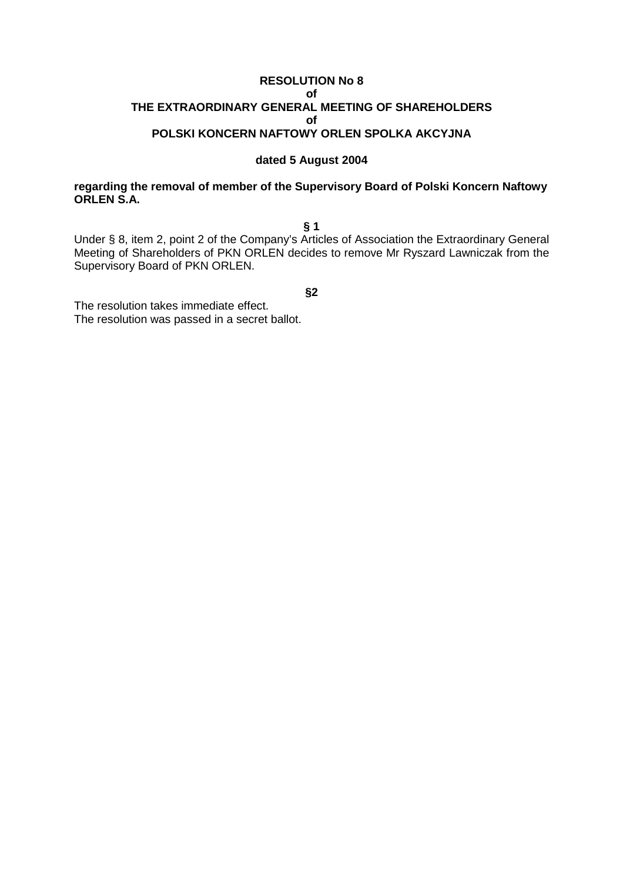### **RESOLUTION No 8 of THE EXTRAORDINARY GENERAL MEETING OF SHAREHOLDERS of POLSKI KONCERN NAFTOWY ORLEN SPOLKA AKCYJNA**

#### **dated 5 August 2004**

## **regarding the removal of member of the Supervisory Board of Polski Koncern Naftowy ORLEN S.A.**

**§ 1**

Under § 8, item 2, point 2 of the Company's Articles of Association the Extraordinary General Meeting of Shareholders of PKN ORLEN decides to remove Mr Ryszard Lawniczak from the Supervisory Board of PKN ORLEN.

**§2**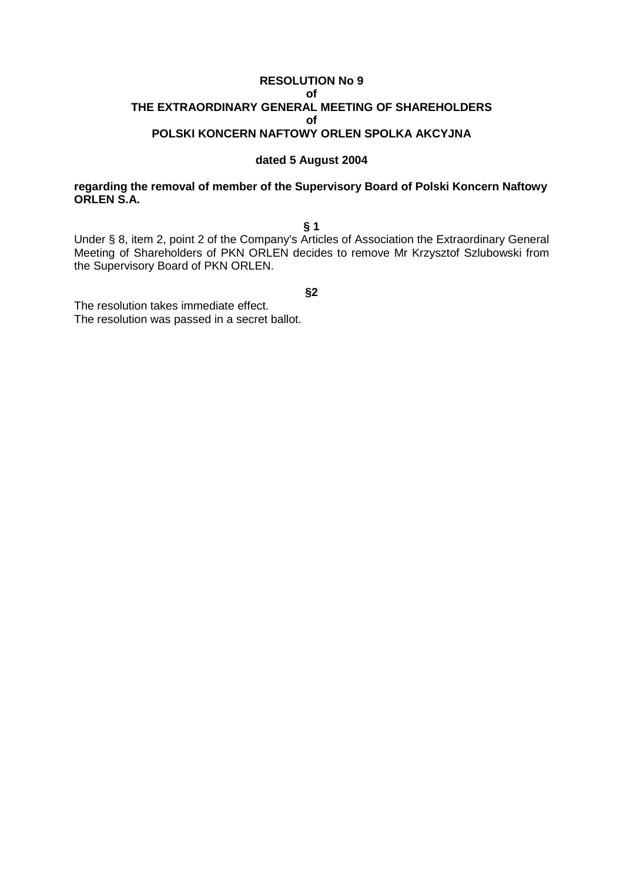### **RESOLUTION No 9 of THE EXTRAORDINARY GENERAL MEETING OF SHAREHOLDERS of POLSKI KONCERN NAFTOWY ORLEN SPOLKA AKCYJNA**

#### **dated 5 August 2004**

### **regarding the removal of member of the Supervisory Board of Polski Koncern Naftowy ORLEN S.A.**

**§ 1**

Under § 8, item 2, point 2 of the Company's Articles of Association the Extraordinary General Meeting of Shareholders of PKN ORLEN decides to remove Mr Krzysztof Szlubowski from the Supervisory Board of PKN ORLEN.

**§2**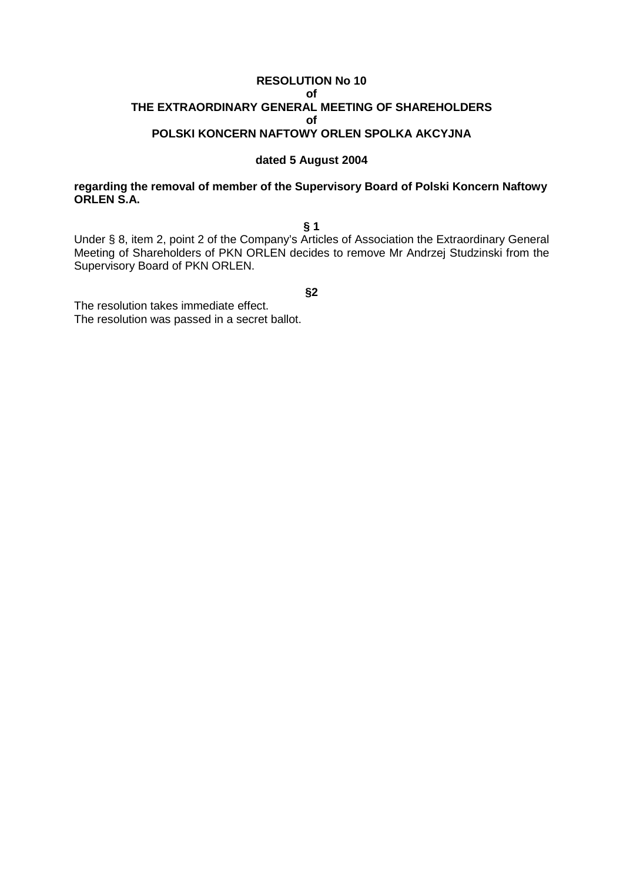### **RESOLUTION No 10 of THE EXTRAORDINARY GENERAL MEETING OF SHAREHOLDERS of POLSKI KONCERN NAFTOWY ORLEN SPOLKA AKCYJNA**

#### **dated 5 August 2004**

### **regarding the removal of member of the Supervisory Board of Polski Koncern Naftowy ORLEN S.A.**

**§ 1**

Under § 8, item 2, point 2 of the Company's Articles of Association the Extraordinary General Meeting of Shareholders of PKN ORLEN decides to remove Mr Andrzej Studzinski from the Supervisory Board of PKN ORLEN.

**§2**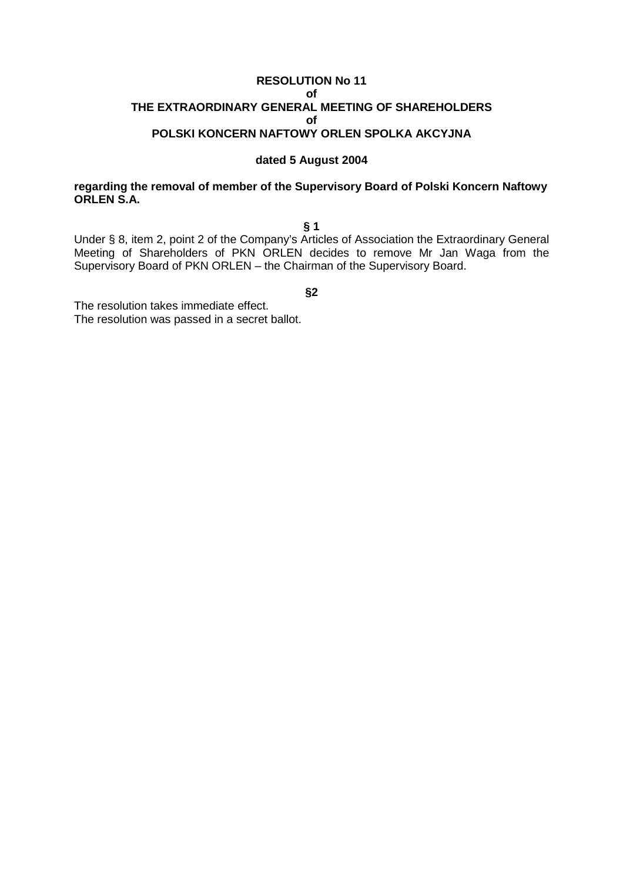### **RESOLUTION No 11 of THE EXTRAORDINARY GENERAL MEETING OF SHAREHOLDERS of POLSKI KONCERN NAFTOWY ORLEN SPOLKA AKCYJNA**

#### **dated 5 August 2004**

### **regarding the removal of member of the Supervisory Board of Polski Koncern Naftowy ORLEN S.A.**

**§ 1**

Under § 8, item 2, point 2 of the Company's Articles of Association the Extraordinary General Meeting of Shareholders of PKN ORLEN decides to remove Mr Jan Waga from the Supervisory Board of PKN ORLEN – the Chairman of the Supervisory Board.

**§2**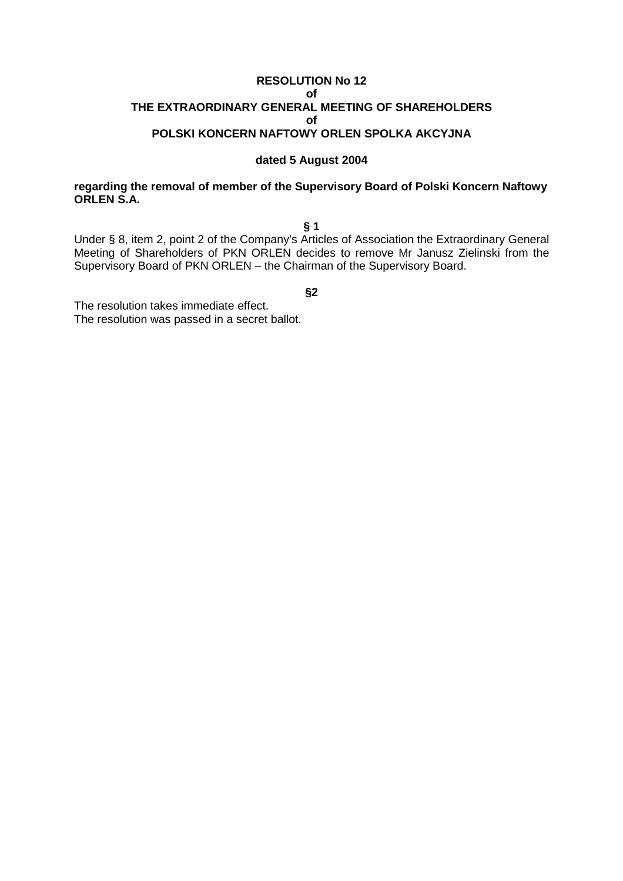### **RESOLUTION No 12 of THE EXTRAORDINARY GENERAL MEETING OF SHAREHOLDERS of POLSKI KONCERN NAFTOWY ORLEN SPOLKA AKCYJNA**

#### **dated 5 August 2004**

### **regarding the removal of member of the Supervisory Board of Polski Koncern Naftowy ORLEN S.A.**

**§ 1**

Under § 8, item 2, point 2 of the Company's Articles of Association the Extraordinary General Meeting of Shareholders of PKN ORLEN decides to remove Mr Janusz Zielinski from the Supervisory Board of PKN ORLEN – the Chairman of the Supervisory Board.

**§2**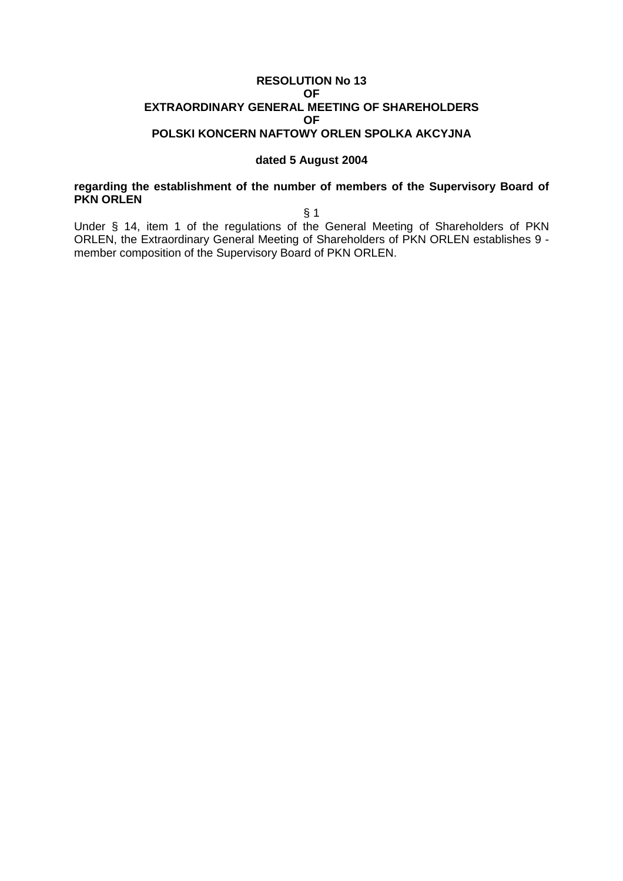### **RESOLUTION No 13 OF EXTRAORDINARY GENERAL MEETING OF SHAREHOLDERS OF POLSKI KONCERN NAFTOWY ORLEN SPOLKA AKCYJNA**

#### **dated 5 August 2004**

### **regarding the establishment of the number of members of the Supervisory Board of PKN ORLEN**

§ 1

Under § 14, item 1 of the regulations of the General Meeting of Shareholders of PKN ORLEN, the Extraordinary General Meeting of Shareholders of PKN ORLEN establishes 9 member composition of the Supervisory Board of PKN ORLEN.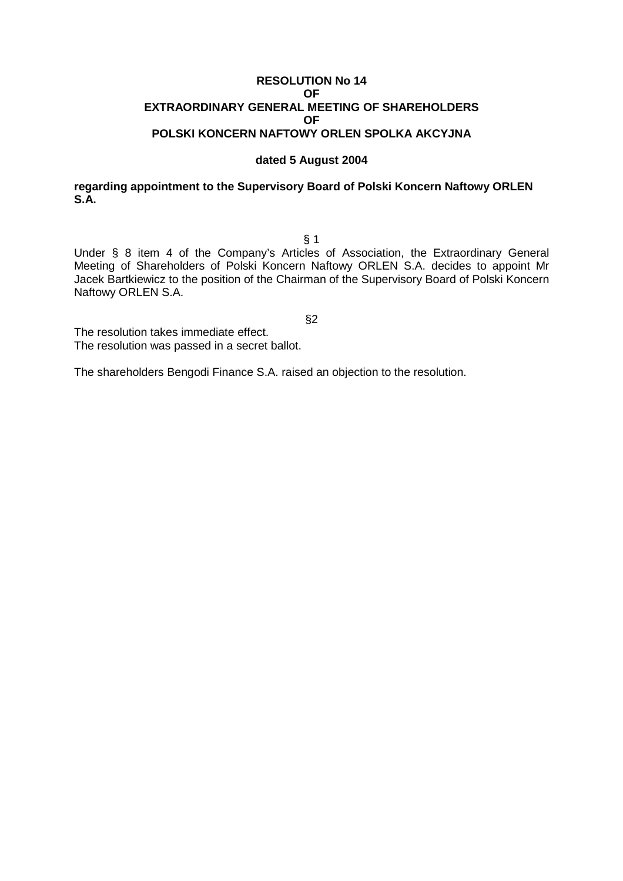### **RESOLUTION No 14 OF EXTRAORDINARY GENERAL MEETING OF SHAREHOLDERS OF POLSKI KONCERN NAFTOWY ORLEN SPOLKA AKCYJNA**

#### **dated 5 August 2004**

### **regarding appointment to the Supervisory Board of Polski Koncern Naftowy ORLEN S.A.**

§ 1

Under § 8 item 4 of the Company's Articles of Association, the Extraordinary General Meeting of Shareholders of Polski Koncern Naftowy ORLEN S.A. decides to appoint Mr Jacek Bartkiewicz to the position of the Chairman of the Supervisory Board of Polski Koncern Naftowy ORLEN S.A.

§2

The resolution takes immediate effect. The resolution was passed in a secret ballot.

The shareholders Bengodi Finance S.A. raised an objection to the resolution.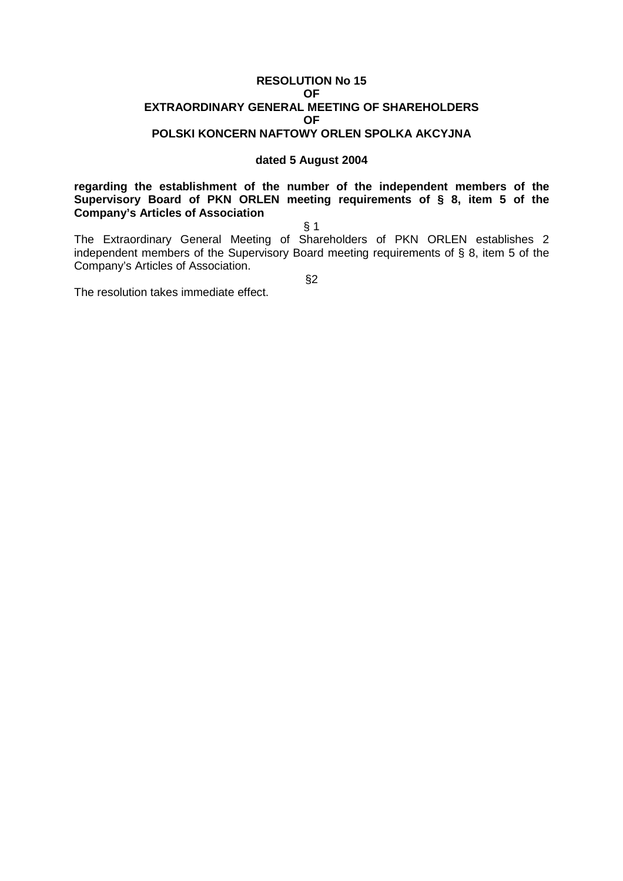#### **RESOLUTION No 15 OF EXTRAORDINARY GENERAL MEETING OF SHAREHOLDERS OF POLSKI KONCERN NAFTOWY ORLEN SPOLKA AKCYJNA**

#### **dated 5 August 2004**

**regarding the establishment of the number of the independent members of the Supervisory Board of PKN ORLEN meeting requirements of § 8, item 5 of the Company's Articles of Association**

§ 1

The Extraordinary General Meeting of Shareholders of PKN ORLEN establishes 2 independent members of the Supervisory Board meeting requirements of § 8, item 5 of the Company's Articles of Association.

§2

The resolution takes immediate effect.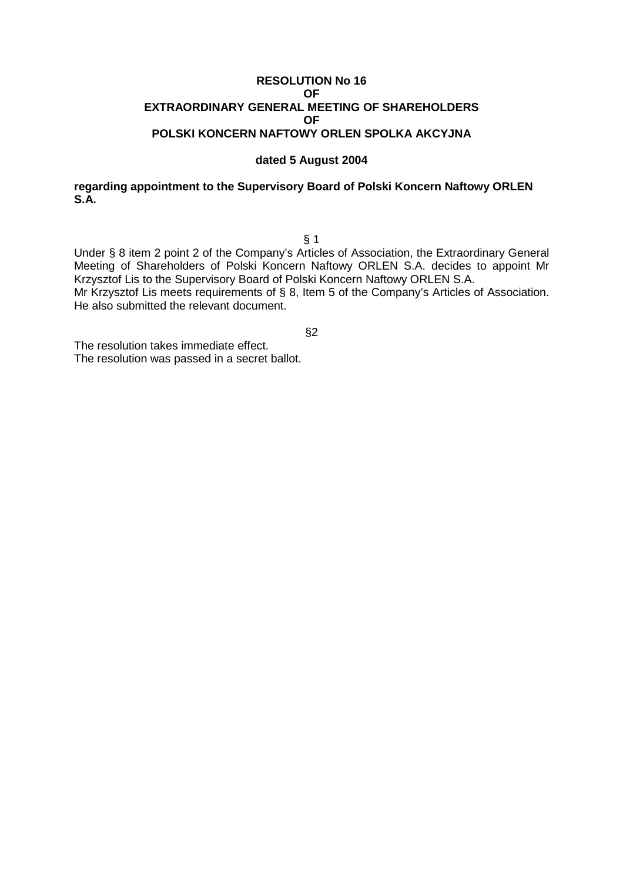### **RESOLUTION No 16 OF EXTRAORDINARY GENERAL MEETING OF SHAREHOLDERS OF POLSKI KONCERN NAFTOWY ORLEN SPOLKA AKCYJNA**

#### **dated 5 August 2004**

### **regarding appointment to the Supervisory Board of Polski Koncern Naftowy ORLEN S.A.**

§ 1

Under § 8 item 2 point 2 of the Company's Articles of Association, the Extraordinary General Meeting of Shareholders of Polski Koncern Naftowy ORLEN S.A. decides to appoint Mr Krzysztof Lis to the Supervisory Board of Polski Koncern Naftowy ORLEN S.A.

Mr Krzysztof Lis meets requirements of § 8, Item 5 of the Company's Articles of Association. He also submitted the relevant document.

§2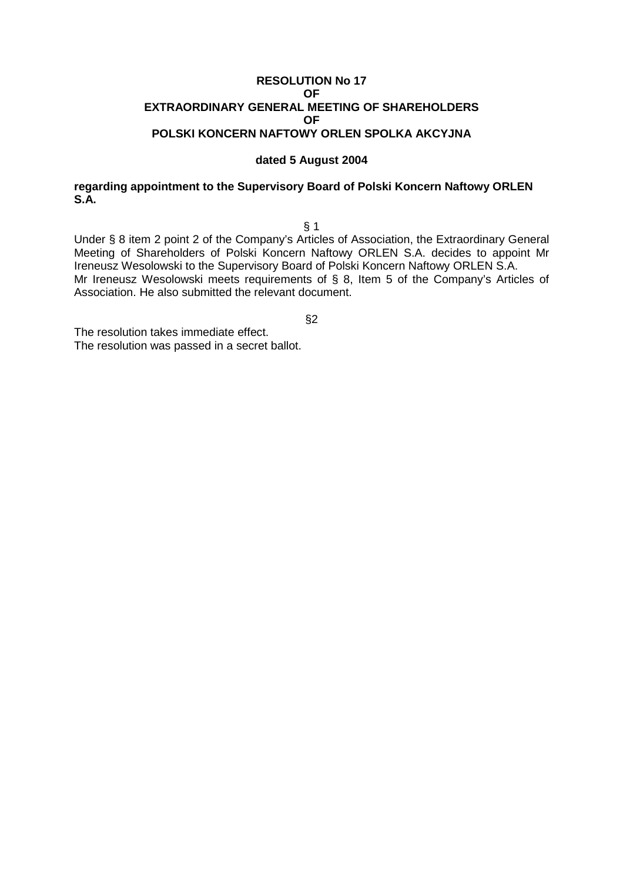### **RESOLUTION No 17 OF EXTRAORDINARY GENERAL MEETING OF SHAREHOLDERS OF POLSKI KONCERN NAFTOWY ORLEN SPOLKA AKCYJNA**

#### **dated 5 August 2004**

### **regarding appointment to the Supervisory Board of Polski Koncern Naftowy ORLEN S.A.**

§ 1

Under § 8 item 2 point 2 of the Company's Articles of Association, the Extraordinary General Meeting of Shareholders of Polski Koncern Naftowy ORLEN S.A. decides to appoint Mr Ireneusz Wesolowski to the Supervisory Board of Polski Koncern Naftowy ORLEN S.A. Mr Ireneusz Wesolowski meets requirements of § 8, Item 5 of the Company's Articles of Association. He also submitted the relevant document.

§2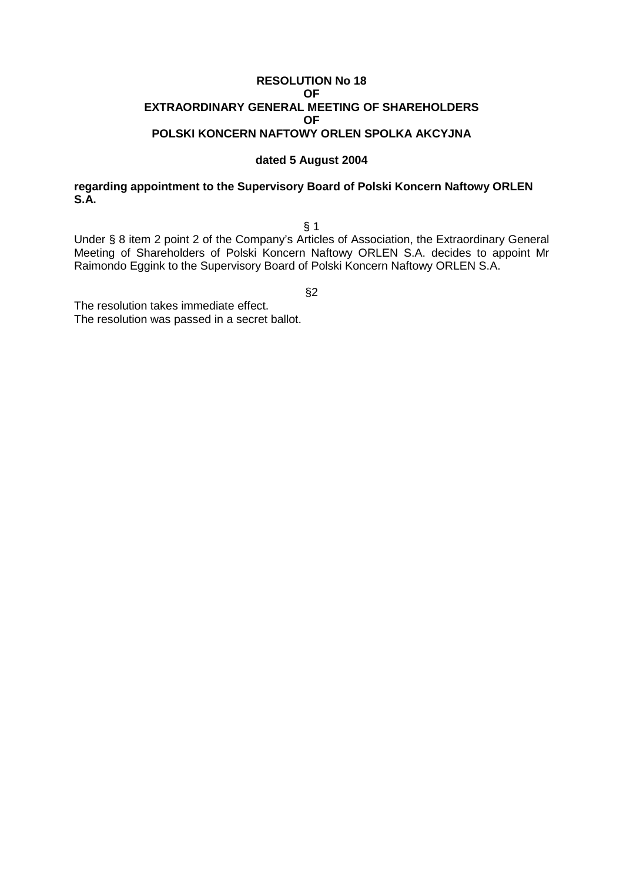### **RESOLUTION No 18 OF EXTRAORDINARY GENERAL MEETING OF SHAREHOLDERS OF POLSKI KONCERN NAFTOWY ORLEN SPOLKA AKCYJNA**

#### **dated 5 August 2004**

### **regarding appointment to the Supervisory Board of Polski Koncern Naftowy ORLEN S.A.**

§ 1

Under § 8 item 2 point 2 of the Company's Articles of Association, the Extraordinary General Meeting of Shareholders of Polski Koncern Naftowy ORLEN S.A. decides to appoint Mr Raimondo Eggink to the Supervisory Board of Polski Koncern Naftowy ORLEN S.A.

§2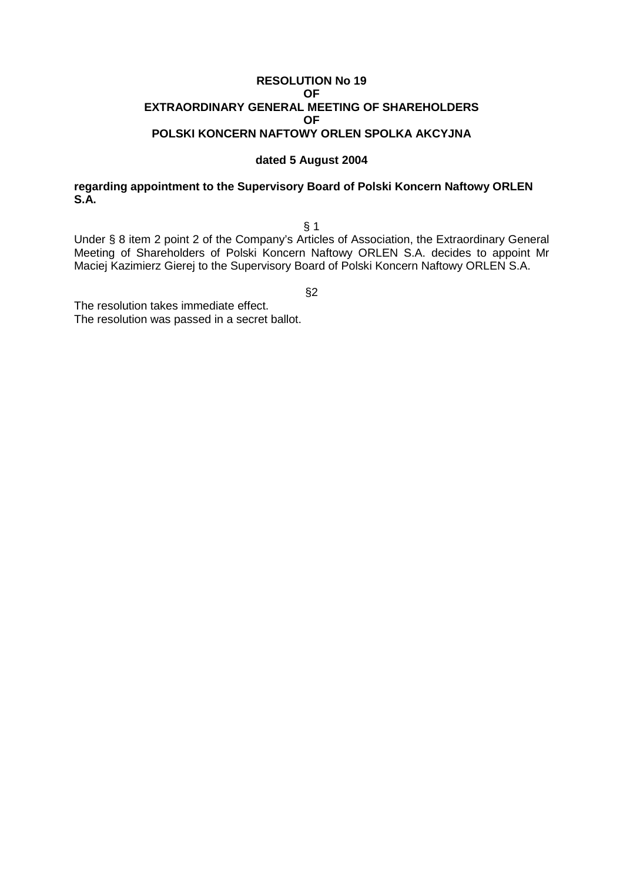### **RESOLUTION No 19 OF EXTRAORDINARY GENERAL MEETING OF SHAREHOLDERS OF POLSKI KONCERN NAFTOWY ORLEN SPOLKA AKCYJNA**

#### **dated 5 August 2004**

### **regarding appointment to the Supervisory Board of Polski Koncern Naftowy ORLEN S.A.**

§ 1

Under § 8 item 2 point 2 of the Company's Articles of Association, the Extraordinary General Meeting of Shareholders of Polski Koncern Naftowy ORLEN S.A. decides to appoint Mr Maciej Kazimierz Gierej to the Supervisory Board of Polski Koncern Naftowy ORLEN S.A.

§2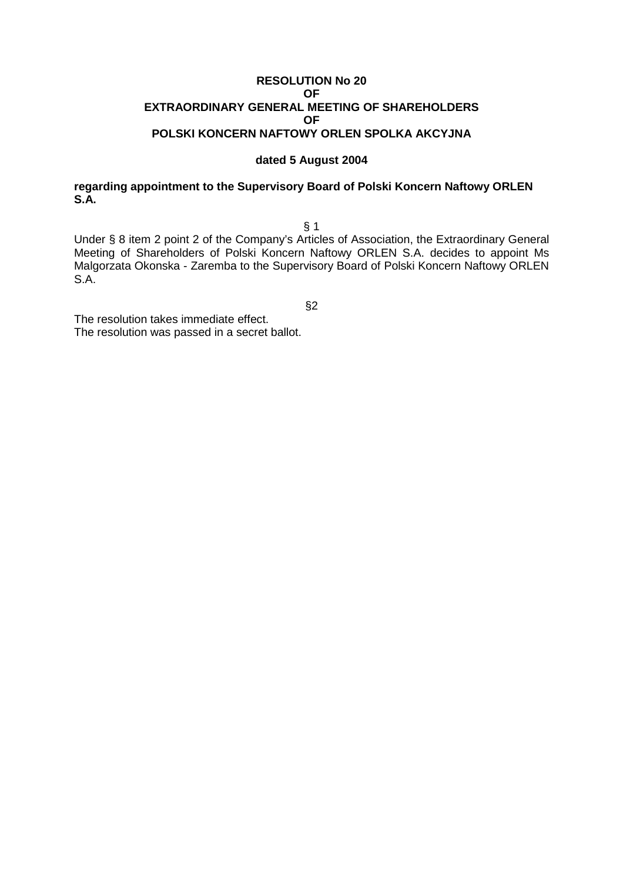### **RESOLUTION No 20 OF EXTRAORDINARY GENERAL MEETING OF SHAREHOLDERS OF POLSKI KONCERN NAFTOWY ORLEN SPOLKA AKCYJNA**

#### **dated 5 August 2004**

### **regarding appointment to the Supervisory Board of Polski Koncern Naftowy ORLEN S.A.**

§ 1

Under § 8 item 2 point 2 of the Company's Articles of Association, the Extraordinary General Meeting of Shareholders of Polski Koncern Naftowy ORLEN S.A. decides to appoint Ms Malgorzata Okonska - Zaremba to the Supervisory Board of Polski Koncern Naftowy ORLEN S.A.

§2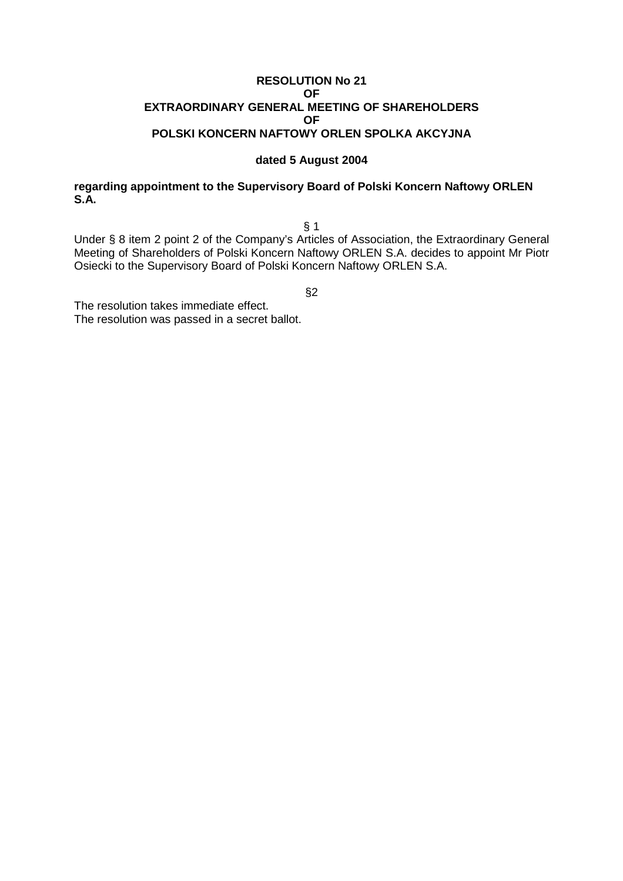### **RESOLUTION No 21 OF EXTRAORDINARY GENERAL MEETING OF SHAREHOLDERS OF POLSKI KONCERN NAFTOWY ORLEN SPOLKA AKCYJNA**

#### **dated 5 August 2004**

### **regarding appointment to the Supervisory Board of Polski Koncern Naftowy ORLEN S.A.**

§ 1

Under § 8 item 2 point 2 of the Company's Articles of Association, the Extraordinary General Meeting of Shareholders of Polski Koncern Naftowy ORLEN S.A. decides to appoint Mr Piotr Osiecki to the Supervisory Board of Polski Koncern Naftowy ORLEN S.A.

§2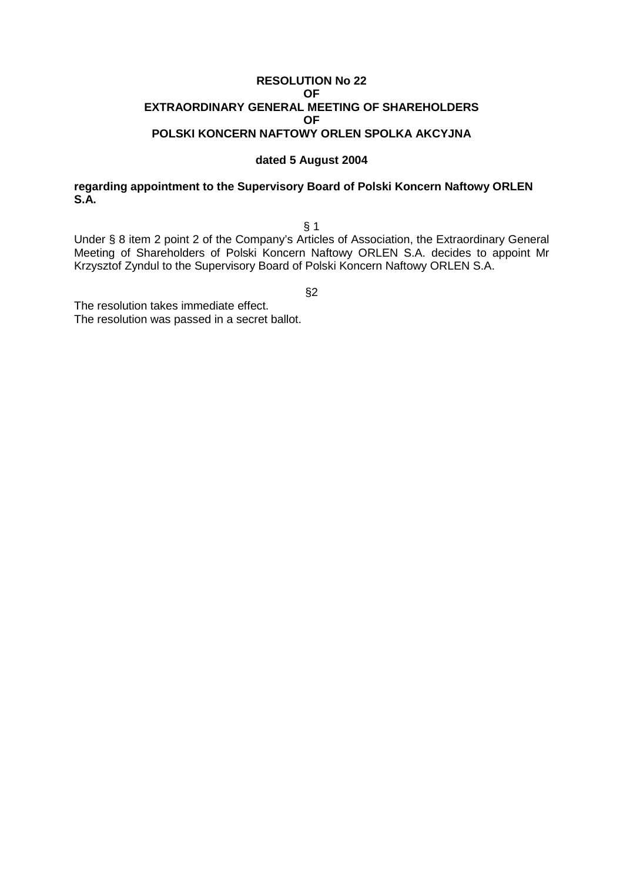### **RESOLUTION No 22 OF EXTRAORDINARY GENERAL MEETING OF SHAREHOLDERS OF POLSKI KONCERN NAFTOWY ORLEN SPOLKA AKCYJNA**

#### **dated 5 August 2004**

### **regarding appointment to the Supervisory Board of Polski Koncern Naftowy ORLEN S.A.**

§ 1

Under § 8 item 2 point 2 of the Company's Articles of Association, the Extraordinary General Meeting of Shareholders of Polski Koncern Naftowy ORLEN S.A. decides to appoint Mr Krzysztof Zyndul to the Supervisory Board of Polski Koncern Naftowy ORLEN S.A.

§2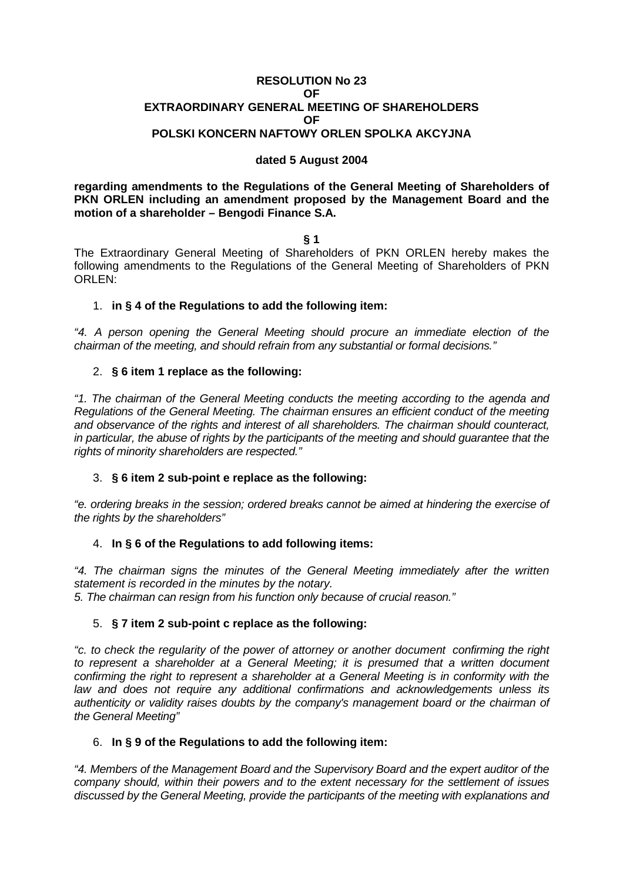#### **RESOLUTION No 23 OF EXTRAORDINARY GENERAL MEETING OF SHAREHOLDERS OF POLSKI KONCERN NAFTOWY ORLEN SPOLKA AKCYJNA**

# **dated 5 August 2004**

**regarding amendments to the Regulations of the General Meeting of Shareholders of PKN ORLEN including an amendment proposed by the Management Board and the motion of a shareholder – Bengodi Finance S.A.**

**§ 1**

The Extraordinary General Meeting of Shareholders of PKN ORLEN hereby makes the following amendments to the Regulations of the General Meeting of Shareholders of PKN ORLEN:

### 1. **in § 4 of the Regulations to add the following item:**

"4. A person opening the General Meeting should procure an immediate election of the chairman of the meeting, and should refrain from any substantial or formal decisions."

### 2. **§ 6 item 1 replace as the following:**

"1. The chairman of the General Meeting conducts the meeting according to the agenda and Regulations of the General Meeting. The chairman ensures an efficient conduct of the meeting and observance of the rights and interest of all shareholders. The chairman should counteract, in particular, the abuse of rights by the participants of the meeting and should guarantee that the rights of minority shareholders are respected."

#### 3. **§ 6 item 2 sub-point e replace as the following:**

"e. ordering breaks in the session; ordered breaks cannot be aimed at hindering the exercise of the rights by the shareholders"

#### 4. **In § 6 of the Regulations to add following items:**

"4. The chairman signs the minutes of the General Meeting immediately after the written statement is recorded in the minutes by the notary. 5. The chairman can resign from his function only because of crucial reason."

#### 5. **§ 7 item 2 sub-point c replace as the following:**

"c. to check the regularity of the power of attorney or another document confirming the right to represent a shareholder at a General Meeting; it is presumed that a written document confirming the right to represent a shareholder at a General Meeting is in conformity with the law and does not require any additional confirmations and acknowledgements unless its authenticity or validity raises doubts by the company's management board or the chairman of the General Meeting"

#### 6. **In § 9 of the Regulations to add the following item:**

"4. Members of the Management Board and the Supervisory Board and the expert auditor of the company should, within their powers and to the extent necessary for the settlement of issues discussed by the General Meeting, provide the participants of the meeting with explanations and